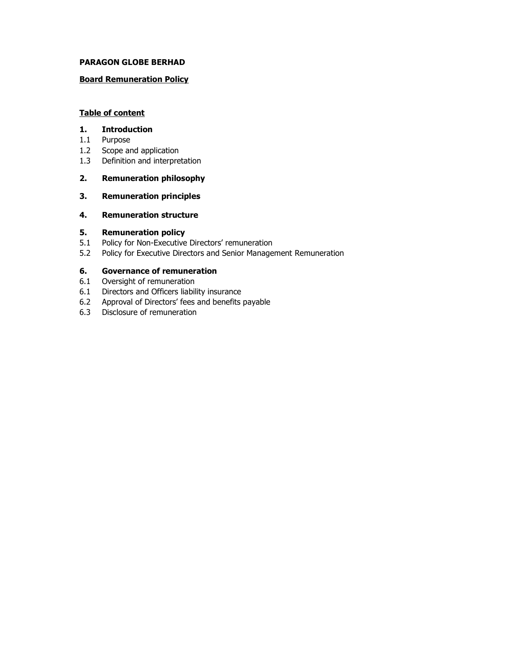## PARAGON GLOBE BERHAD

# Board Remuneration Policy

# Table of content

#### 1. Introduction

- 1.1 Purpose
- 1.2 Scope and application
- 1.3 Definition and interpretation

# 2. Remuneration philosophy

3. Remuneration principles

# 4. Remuneration structure

## 5. Remuneration policy

- 5.1 Policy for Non-Executive Directors' remuneration
- 5.2 Policy for Executive Directors and Senior Management Remuneration

# 6. Governance of remuneration

- 6.1 Oversight of remuneration
- 6.1 Directors and Officers liability insurance
- 6.2 Approval of Directors' fees and benefits payable
- 6.3 Disclosure of remuneration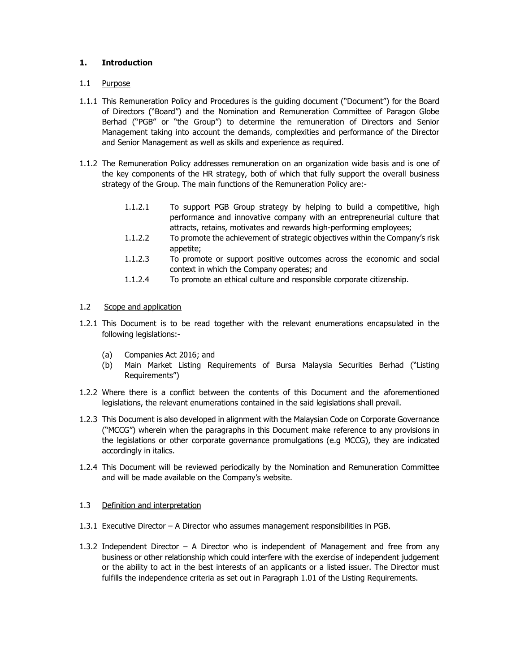# 1. Introduction

## 1.1 Purpose

- 1.1.1 This Remuneration Policy and Procedures is the guiding document ("Document") for the Board of Directors ("Board") and the Nomination and Remuneration Committee of Paragon Globe Berhad ("PGB" or "the Group") to determine the remuneration of Directors and Senior Management taking into account the demands, complexities and performance of the Director and Senior Management as well as skills and experience as required.
- 1.1.2 The Remuneration Policy addresses remuneration on an organization wide basis and is one of the key components of the HR strategy, both of which that fully support the overall business strategy of the Group. The main functions of the Remuneration Policy are:-
	- 1.1.2.1 To support PGB Group strategy by helping to build a competitive, high performance and innovative company with an entrepreneurial culture that attracts, retains, motivates and rewards high-performing employees;
	- 1.1.2.2 To promote the achievement of strategic objectives within the Company's risk appetite;
	- 1.1.2.3 To promote or support positive outcomes across the economic and social context in which the Company operates; and
	- 1.1.2.4 To promote an ethical culture and responsible corporate citizenship.

# 1.2 Scope and application

- 1.2.1 This Document is to be read together with the relevant enumerations encapsulated in the following legislations:-
	- (a) Companies Act 2016; and
	- (b) Main Market Listing Requirements of Bursa Malaysia Securities Berhad ("Listing Requirements")
- 1.2.2 Where there is a conflict between the contents of this Document and the aforementioned legislations, the relevant enumerations contained in the said legislations shall prevail.
- 1.2.3 This Document is also developed in alignment with the Malaysian Code on Corporate Governance ("MCCG") wherein when the paragraphs in this Document make reference to any provisions in the legislations or other corporate governance promulgations (e.g MCCG), they are indicated accordingly in italics.
- 1.2.4 This Document will be reviewed periodically by the Nomination and Remuneration Committee and will be made available on the Company's website.

## 1.3 Definition and interpretation

- 1.3.1 Executive Director A Director who assumes management responsibilities in PGB.
- 1.3.2 Independent Director A Director who is independent of Management and free from any business or other relationship which could interfere with the exercise of independent judgement or the ability to act in the best interests of an applicants or a listed issuer. The Director must fulfills the independence criteria as set out in Paragraph 1.01 of the Listing Requirements.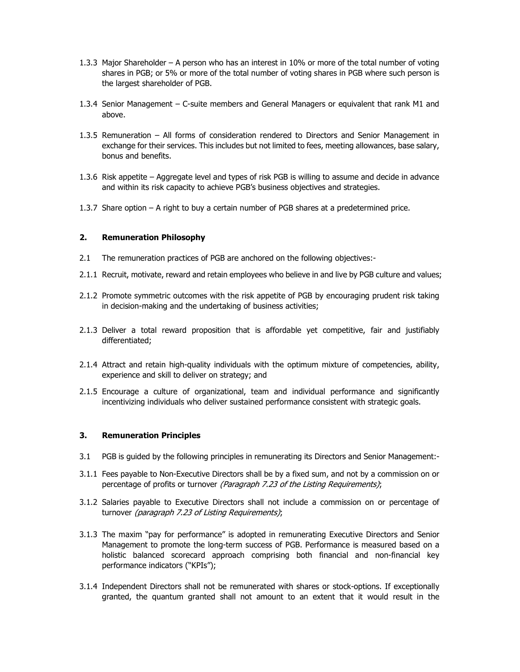- 1.3.3 Major Shareholder A person who has an interest in 10% or more of the total number of voting shares in PGB; or 5% or more of the total number of voting shares in PGB where such person is the largest shareholder of PGB.
- 1.3.4 Senior Management C-suite members and General Managers or equivalent that rank M1 and above.
- 1.3.5 Remuneration All forms of consideration rendered to Directors and Senior Management in exchange for their services. This includes but not limited to fees, meeting allowances, base salary, bonus and benefits.
- 1.3.6 Risk appetite Aggregate level and types of risk PGB is willing to assume and decide in advance and within its risk capacity to achieve PGB's business objectives and strategies.
- 1.3.7 Share option A right to buy a certain number of PGB shares at a predetermined price.

#### 2. Remuneration Philosophy

- 2.1 The remuneration practices of PGB are anchored on the following objectives:-
- 2.1.1 Recruit, motivate, reward and retain employees who believe in and live by PGB culture and values;
- 2.1.2 Promote symmetric outcomes with the risk appetite of PGB by encouraging prudent risk taking in decision-making and the undertaking of business activities;
- 2.1.3 Deliver a total reward proposition that is affordable yet competitive, fair and justifiably differentiated;
- 2.1.4 Attract and retain high-quality individuals with the optimum mixture of competencies, ability, experience and skill to deliver on strategy; and
- 2.1.5 Encourage a culture of organizational, team and individual performance and significantly incentivizing individuals who deliver sustained performance consistent with strategic goals.

#### 3. Remuneration Principles

- 3.1 PGB is guided by the following principles in remunerating its Directors and Senior Management:-
- 3.1.1 Fees payable to Non-Executive Directors shall be by a fixed sum, and not by a commission on or percentage of profits or turnover (Paragraph 7.23 of the Listing Requirements);
- 3.1.2 Salaries payable to Executive Directors shall not include a commission on or percentage of turnover (paragraph 7.23 of Listing Requirements);
- 3.1.3 The maxim "pay for performance" is adopted in remunerating Executive Directors and Senior Management to promote the long-term success of PGB. Performance is measured based on a holistic balanced scorecard approach comprising both financial and non-financial key performance indicators ("KPIs");
- 3.1.4 Independent Directors shall not be remunerated with shares or stock-options. If exceptionally granted, the quantum granted shall not amount to an extent that it would result in the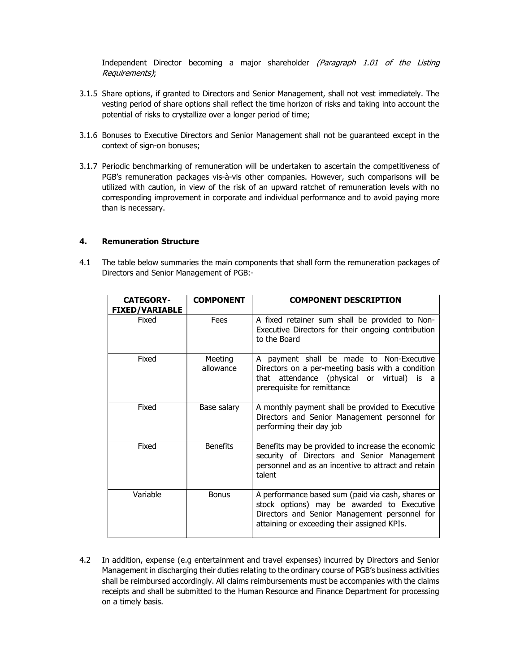Independent Director becoming a major shareholder (Paragraph 1.01 of the Listing Requirements);

- 3.1.5 Share options, if granted to Directors and Senior Management, shall not vest immediately. The vesting period of share options shall reflect the time horizon of risks and taking into account the potential of risks to crystallize over a longer period of time;
- 3.1.6 Bonuses to Executive Directors and Senior Management shall not be guaranteed except in the context of sign-on bonuses;
- 3.1.7 Periodic benchmarking of remuneration will be undertaken to ascertain the competitiveness of PGB's remuneration packages vis-à-vis other companies. However, such comparisons will be utilized with caution, in view of the risk of an upward ratchet of remuneration levels with no corresponding improvement in corporate and individual performance and to avoid paying more than is necessary.

#### 4. Remuneration Structure

4.1 The table below summaries the main components that shall form the remuneration packages of Directors and Senior Management of PGB:-

| <b>CATEGORY-</b><br><b>FIXED/VARIABLE</b> | <b>COMPONENT</b>     | <b>COMPONENT DESCRIPTION</b>                                                                                                                                                                    |
|-------------------------------------------|----------------------|-------------------------------------------------------------------------------------------------------------------------------------------------------------------------------------------------|
| Fixed                                     | Fees                 | A fixed retainer sum shall be provided to Non-<br>Executive Directors for their ongoing contribution<br>to the Board                                                                            |
| Fixed                                     | Meeting<br>allowance | A payment shall be made to Non-Executive<br>Directors on a per-meeting basis with a condition<br>that attendance (physical or virtual)<br>is a<br>prerequisite for remittance                   |
| Fixed                                     | Base salary          | A monthly payment shall be provided to Executive<br>Directors and Senior Management personnel for<br>performing their day job                                                                   |
| Fixed                                     | <b>Benefits</b>      | Benefits may be provided to increase the economic<br>security of Directors and Senior Management<br>personnel and as an incentive to attract and retain<br>talent                               |
| Variable                                  | <b>Bonus</b>         | A performance based sum (paid via cash, shares or<br>stock options) may be awarded to Executive<br>Directors and Senior Management personnel for<br>attaining or exceeding their assigned KPIs. |

4.2 In addition, expense (e.g entertainment and travel expenses) incurred by Directors and Senior Management in discharging their duties relating to the ordinary course of PGB's business activities shall be reimbursed accordingly. All claims reimbursements must be accompanies with the claims receipts and shall be submitted to the Human Resource and Finance Department for processing on a timely basis.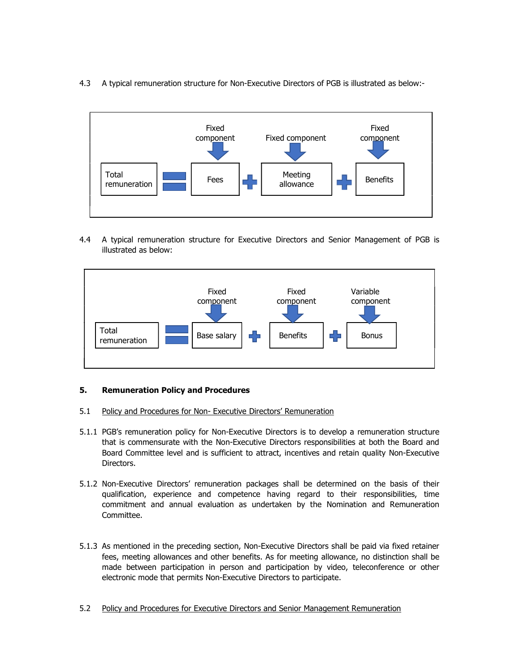4.3 A typical remuneration structure for Non-Executive Directors of PGB is illustrated as below:-



4.4 A typical remuneration structure for Executive Directors and Senior Management of PGB is illustrated as below:



## 5. Remuneration Policy and Procedures

- 5.1 Policy and Procedures for Non- Executive Directors' Remuneration
- 5.1.1 PGB's remuneration policy for Non-Executive Directors is to develop a remuneration structure that is commensurate with the Non-Executive Directors responsibilities at both the Board and Board Committee level and is sufficient to attract, incentives and retain quality Non-Executive Directors.
- 5.1.2 Non-Executive Directors' remuneration packages shall be determined on the basis of their qualification, experience and competence having regard to their responsibilities, time commitment and annual evaluation as undertaken by the Nomination and Remuneration Committee.
- 5.1.3 As mentioned in the preceding section, Non-Executive Directors shall be paid via fixed retainer fees, meeting allowances and other benefits. As for meeting allowance, no distinction shall be made between participation in person and participation by video, teleconference or other electronic mode that permits Non-Executive Directors to participate.
- 5.2 Policy and Procedures for Executive Directors and Senior Management Remuneration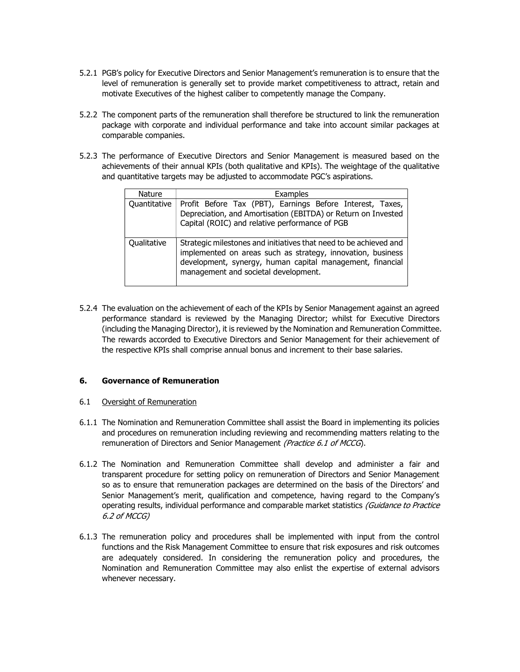- 5.2.1 PGB's policy for Executive Directors and Senior Management's remuneration is to ensure that the level of remuneration is generally set to provide market competitiveness to attract, retain and motivate Executives of the highest caliber to competently manage the Company.
- 5.2.2 The component parts of the remuneration shall therefore be structured to link the remuneration package with corporate and individual performance and take into account similar packages at comparable companies.
- 5.2.3 The performance of Executive Directors and Senior Management is measured based on the achievements of their annual KPIs (both qualitative and KPIs). The weightage of the qualitative and quantitative targets may be adjusted to accommodate PGC's aspirations.

| <b>Nature</b> | Examples                                                                                                                                                                                                                              |  |  |
|---------------|---------------------------------------------------------------------------------------------------------------------------------------------------------------------------------------------------------------------------------------|--|--|
| Quantitative  | Profit Before Tax (PBT), Earnings Before Interest, Taxes,<br>Depreciation, and Amortisation (EBITDA) or Return on Invested<br>Capital (ROIC) and relative performance of PGB                                                          |  |  |
| Qualitative   | Strategic milestones and initiatives that need to be achieved and<br>implemented on areas such as strategy, innovation, business<br>development, synergy, human capital management, financial<br>management and societal development. |  |  |

5.2.4 The evaluation on the achievement of each of the KPIs by Senior Management against an agreed performance standard is reviewed by the Managing Director; whilst for Executive Directors (including the Managing Director), it is reviewed by the Nomination and Remuneration Committee. The rewards accorded to Executive Directors and Senior Management for their achievement of the respective KPIs shall comprise annual bonus and increment to their base salaries.

## 6. Governance of Remuneration

## 6.1 Oversight of Remuneration

- 6.1.1 The Nomination and Remuneration Committee shall assist the Board in implementing its policies and procedures on remuneration including reviewing and recommending matters relating to the remuneration of Directors and Senior Management (Practice 6.1 of MCCG).
- 6.1.2 The Nomination and Remuneration Committee shall develop and administer a fair and transparent procedure for setting policy on remuneration of Directors and Senior Management so as to ensure that remuneration packages are determined on the basis of the Directors' and Senior Management's merit, qualification and competence, having regard to the Company's operating results, individual performance and comparable market statistics (Guidance to Practice 6.2 of MCCG)
- 6.1.3 The remuneration policy and procedures shall be implemented with input from the control functions and the Risk Management Committee to ensure that risk exposures and risk outcomes are adequately considered. In considering the remuneration policy and procedures, the Nomination and Remuneration Committee may also enlist the expertise of external advisors whenever necessary.